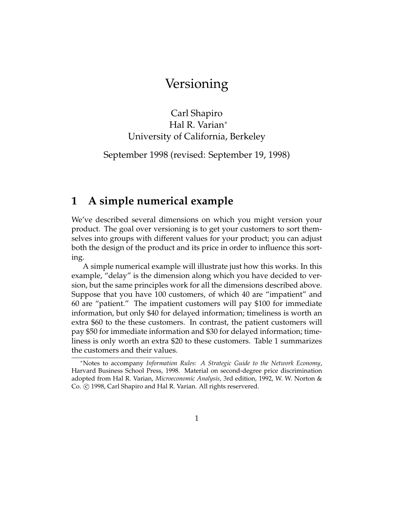## Versioning

Carl Shapiro Hal R. Varian<br>≀of California University of California, Berkeley

September 1998 (revised: September 19, 1998)

### **1 A simple numerical example**

We've described several dimensions on which you might version your product. The goal over versioning is to get your customers to sort themselves into groups with different values for your product; you can adjust serves the groups with different values for your product; you can adjust<br>both the design of the product and its price in order to influence this sort- $\delta$  the product and its product and its product and its product  $\delta$ 

 $\overline{\phantom{a}}$ A simple numerical example will illustrate just how this works. In this example, "delay" is the dimension along which you have decided to version, but the same principles work for all the dimensions described above. Suppose that you have 100 customers, of which 40 are "impatient" and 60 are "patient." The impatient customers will pay  $$100$  for immediate information, but only \$40 for delayed information; timeliness is worth an extra \$60 to the these customers. In contrast, the patient customers will pay \$50 for immediate information and \$30 for delayed information; timeliness is only worth an extra \$20 to these customers. Table 1 summarizes the customers and their values. the customers and their values.

<sup>∗</sup>Notes to accompany *Information Rules: A Strategic Guide to the Network Economy*, adopted from Hal R. Varian, Microeconomic Analysis, 3rd edition, 1992, W. W. Norton & adopted from Hal R. Varian, *Microeconomic Analysis*, 3rd edition, 1992, W. W. Norton &  $\ldots$   $\circ$   $\ldots$ , carrotating and that the Hall rights reservered.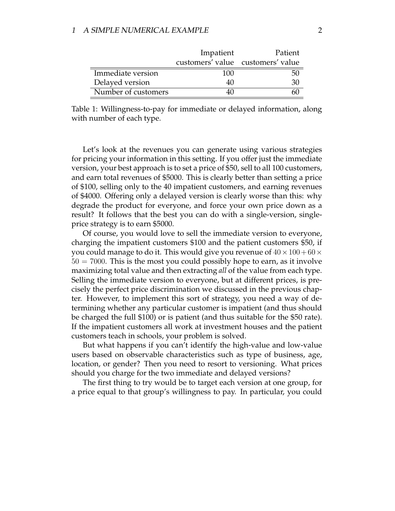|                     | Impatient                         | Patient |
|---------------------|-----------------------------------|---------|
|                     | customers' value customers' value |         |
| Immediate version   | 100                               | 50      |
| Delayed version     | 40                                | 30      |
| Number of customers |                                   |         |
|                     |                                   |         |

Table 1: Willingness-to-pay for immediate or delayed information, along with number of each type.

Let's look at the revenues you can generate using various strategies for pricing your information in this setting. If you offer just the immediate version, your best approach is to set a price of \$50, sell to all 100 customers, and earn total revenues of \$5000. This is clearly better than setting a price of \$100, selling only to the 40 impatient customers, and earning revenues of \$4000. Offering only a delayed version is clearly worse than this: why degrade the product for everyone, and force your own price down as a result? It follows that the best you can do with a single-version, singleprice strategy is to earn \$5000.

Of course, you would love to sell the immediate version to everyone, charging the impatient customers \$100 and the patient customers \$50, if you could manage to do it. This would give you revenue of  $40 \times 100 + 60 \times$  $50 = 7000$ . This is the most you could possibly hope to earn, as it involve maximizing total value and then extracting *all* of the value from each type. Selling the immediate version to everyone, but at different prices, is precisely the perfect price discrimination we discussed in the previous chapter. However, to implement this sort of strategy, you need a way of determining whether any particular customer is impatient (and thus should be charged the full  $$100$  or is patient (and thus suitable for the  $$50$  rate). If the impatient customers all work at investment houses and the patient customers teach in schools, your problem is solved.

But what happens if you can't identify the high-value and low-value users based on observable characteristics such as type of business, age, location, or gender? Then you need to resort to versioning. What prices should you charge for the two immediate and delayed versions?

The first thing to try would be to target each version at one group, for  $\frac{1}{2}$  or  $\frac{1}{2}$  to the first thing to the transition  $\frac{1}{2}$  or  $\frac{1}{2}$ ,  $\frac{1}{2}$ a price equal to that group's willingness to pay. In particular, you could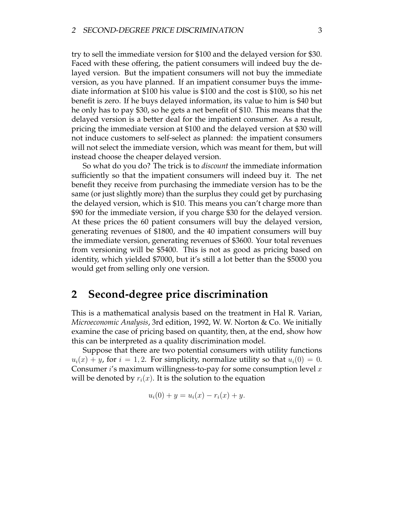try to sell the immediate version for \$100 and the delayed version for \$30. layed version. But the impatient consumers will not buy the immediate version, as you have planned. If an impatient consumer buys the immediate information at \$100 his value is \$100 and the cost is \$100, so his net benefit is zero. If he buys delayed information, its value to him is \$40 but he only has to pay \$30, so he gets a net benefit of \$10. This means that the delayed version is a better deal for the impatient consumer. As a result, pricing the immediate version at \$100 and the delayed version at \$30 will not induce customers to self-select as planned: the impatient consumers will not select the immediate version, which was meant for them, but will instead choose the cheaper delayed version.

So what do you do? The trick is to *discount* the immediate information sufficiently so that the impatient consumers will indeed buy it. The net benefit they receive from purchasing the immediate version has to be the same (or just slightly more) than the surplus they could get by purchasing the delayed version, which is \$10. This means you can't charge more than \$90 for the immediate version, if you charge \$30 for the delayed version. At these prices the 60 patient consumers will buy the delayed version, generating revenues of \$1800, and the 40 impatient consumers will buy the immediate version, generating revenues of \$3600. Your total revenues from versioning will be \$5400. This is not as good as pricing based on identity, which yielded \$7000, but it's still a lot better than the \$5000 you  $\frac{1}{2}$  which yielded  $\frac{1}{2}$  better  $\frac{1}{2}$  corresponding to but it is still a lot better than the  $\frac{1}{2}$  corresponding to  $\frac{1}{2}$  corresponding to  $\frac{1}{2}$  corresponding to  $\frac{1}{2}$  corresponding to  $\frac{1}{2$  $\sigma$  selling only one version.

#### **2 Second-degree price discrimination**

This is a mathematical analysis based on the treatment in Hal R. Varian, *Microeconomic Analysis*, 3rd edition, 1992, W. W. Norton & Co. We initially examine the case of pricing based on quantity, then, at the end, show how this can be interpreted as a quality discrimination model.

Suppose that there are two potential consumers with utility functions  $u_i(x) + y$ , for  $i = 1, 2$ . For simplicity, normalize utility so that  $u_i(0) = 0$ . Consumer i's maximum willingness-to-pay for some consumption level x will be denoted by  $r(x)$  It is the solution to the equation will be denoted by right  $\sum_{i=1}^n x_i$ .

$$
u_i(0) + y = u_i(x) - r_i(x) + y.
$$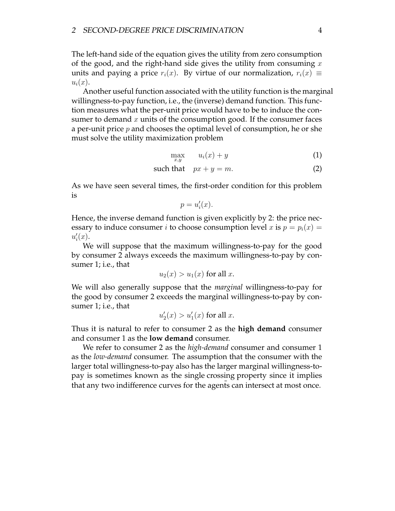The left-hand side of the equation gives the utility from zero consumption of the good, and the right-hand side gives the utility from consuming  $x$ of the good, and the right-hand side gives the utility from consuming  $\ddot{x}$  $\sum_{l} \sum_{i} \sigma_{l} \Gamma_{l}^{(k)}$ 

 $u_i(x)$ .<br>Another useful function associated with the utility function is the marginal willingness-to-pay function, i.e., the (inverse) demand function. This function measures what the per-unit price would have to be to induce the consumer to demand  $x$  units of the consumption good. If the consumer faces a per-unit price  $p$  and chooses the optimal level of consumption, he or she  $\frac{1}{\epsilon}$  must solve the utility maximization problem must solve the utility maximization problem

$$
\max_{x,y} \qquad u_i(x) + y \tag{1}
$$

such that 
$$
px + y = m
$$
. (2)

As we have seen several times, the first-order condition for this problem is is

$$
p = u_i'(x).
$$

 $\theta$  are  $\theta$  induce consumer *i* to choose consumption level *x* is  $p = p(x)$ .  $\text{even } j$  to induce consumer it to choose consumption level  $\text{even } p = p_i(x)$  $u_i'(x)$ .

We will suppose that the maximum willingness-to-pay for the good We will suppose that the maximum willingness to pay for the good  $\frac{1}{\alpha}$  and  $\frac{1}{\alpha}$  and  $\frac{1}{\alpha}$  and  $\frac{1}{\alpha}$  and  $\frac{1}{\alpha}$  and  $\frac{1}{\alpha}$  and  $\frac{1}{\alpha}$  and  $\frac{1}{\alpha}$  and  $\frac{1}{\alpha}$  and  $\frac{1}{\alpha}$  and  $\frac{1}{\alpha}$  and  $\frac{1}{\alpha}$  and  $\frac{1}{\alpha}$  and  $\frac{1}{\alpha}$  and  $\frac{1}{\alpha}$  sumer 1; i.e., that

$$
u_2(x) > u_1(x) \text{ for all } x.
$$

will also generally suppose the marginal willingness-to-pay by con- $\frac{1}{2}$  except the matrix of the matrix  $\frac{1}{2}$  exceeds the matrix  $\frac{1}{2}$  except the matrix of the matrix  $\frac{1}{2}$  except the matrix of the matrix of the matrix of the matrix of the matrix of the matrix of the mat  $\mathbf{r}$  is the 1; i.e., that is that is the  $\mathbf{r}$ 

$$
u_2'(x) > u_1'(x) \text{ for all } x.
$$

Thus it is natural to refer to consumer 2 as the **high demand** consumer

We refer to consumer 2 as the *high-demand* consumer and consumer 1 as the *low-demand* consumer. The assumption that the consumer with the larger total willingness-to-pay also has the larger marginal willingness-topay is sometimes known as the single crossing property since it implies that any two indifference curves for the agents can intersect at most once.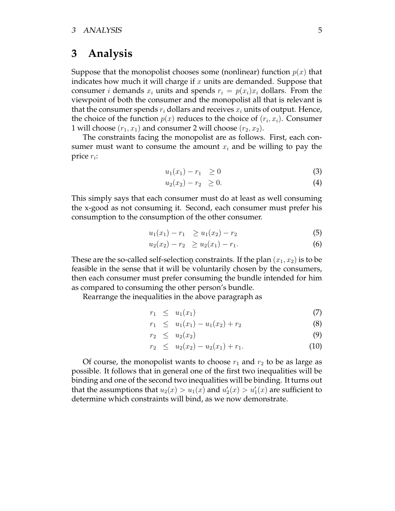### **3 Analysis**

Suppose that the monopolist chooses some (nonlinear) function  $p(x)$  that indicates how much it will charge if x units are demanded. Suppose that consumer *i* demands  $x_i$  units and spends  $r_i = p(x_i)x_i$  dollars. From the is view point of both the consumer and the monopolist all that is relevant is that the consumer spends  $r_i$  dollars and receives  $x_i$  units of output. Hence, the choice of the function  $p(x)$  reduces to the choice of  $(r_i, x_i)$ . Consumer 1 will choose  $(r_1, x_1)$  and consumer 2 will choose  $(r_2, x_2)$ .

The constraints facing the monopolist are as follows. First, each con-The constraints facing the monopolitic are as follows. First, each con $s_n$  and  $s_n$  and  $s_n$  and  $s_n$  and  $s_n$  and  $s_n$  and  $s_n$  and  $s_n$  and  $s_n$  and  $s_n$  and  $s_n$  and  $s_n$  and  $s_n$  and  $s_n$  and  $s_n$  and  $s_n$  and  $s_n$  and  $s_n$  and  $s_n$  and  $s_n$  and  $s_n$  and  $s_n$  and  $s_n$  and  $s_n$  and  $s_n$  price  $r_i$ :

$$
u_1(x_1) - r_1 \ge 0 \tag{3}
$$

$$
u_2(x_2) - r_2 \ge 0. \tag{4}
$$

This simply says that each consumer must do at least as well consuming the x-good as not consuming it. Second, each consumer must prefer his the x-good as not consuming in second, each consumer must prefer the consumption to the consumption of the other consumer.

$$
u_1(x_1) - r_1 \ge u_1(x_2) - r_2 \tag{5}
$$

$$
u_2(x_2) - r_2 \ge u_2(x_1) - r_1. \tag{6}
$$

These are the so-called self-selection constraints. If the plan  $(x_1, x_2)$  is to be feasible in the sense that it will be voluntarily chosen by the consumers, then each consumer must prefer consuming the bundle intended for him as compared to consuming the other person's bundle.

 $\frac{a}{b}$   $\frac{b}{c}$  compared to consume the other persons bundle.  $\sigma$  is the interaction in the above paragraph as  $\sigma$ 

$$
r_1 \leq u_1(x_1) \tag{7}
$$

$$
r_1 \leq u_1(x_1) - u_1(x_2) + r_2 \tag{8}
$$

$$
r_2 \leq u_2(x_2) \tag{9}
$$

$$
r_2 \leq u_2(x_2) - u_2(x_1) + r_1. \tag{10}
$$

Of course, the monopolist wants to choose  $r_1$  and  $r_2$  to be as large as possible. It follows that in general one of the first two inequalities will be binding and one of the second two inequalities will be binding. It turns out but the assumptions that  $u_2(x) \ge u_1(x)$  and  $u'(x) \ge u'(x)$  are sufficient to that the assumptions that  $u_2(x) > u_1(x)$  and  $u_2(x) > u_1$ <br>determine which constraints will hind as we now dem  $1^{(x)}$ determine which constraints will bind, as we now demonstrate.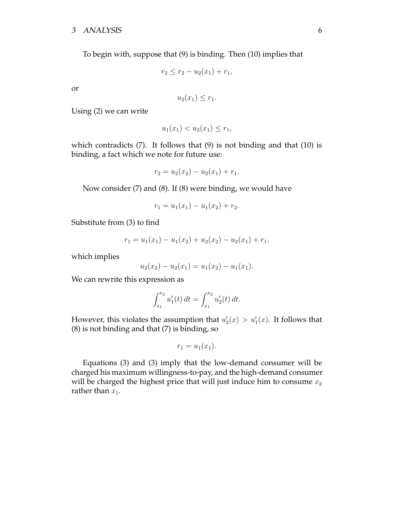# <sup>3</sup> ANALYSIS 6

To begin with, suppose that (9) is binding. Then (10) implies that

$$
r_2 \le r_2 - u_2(x_1) + r_1,
$$

or

$$
u_2(x_1) \leq r_1.
$$

Using (2) we can write

$$
u_1(x_1) < u_2(x_1) \le r_1,
$$

 $\lim_{\epsilon \to 0}$  is fact which we note for future use:  $\frac{1}{2}$  and  $\frac{1}{2}$  and  $\frac{1}{2}$  and  $\frac{1}{2}$  and  $\frac{1}{2}$  and  $\frac{1}{2}$  and  $\frac{1}{2}$  and  $\frac{1}{2}$  and  $\frac{1}{2}$  and  $\frac{1}{2}$  and  $\frac{1}{2}$  and  $\frac{1}{2}$  and  $\frac{1}{2}$  and  $\frac{1}{2}$  and  $\frac{1}{2}$  and  $\frac{1}{2}$  a

$$
r_2 = u_2(x_2) - u_2(x_1) + r_1.
$$

Now consider (7) and (8). If (8) were binding, we would have

$$
r_1 = u_1(x_1) - u_1(x_2) + r_2.
$$

Substitute from (3) to find

$$
r_1 = u_1(x_1) - u_1(x_2) + u_2(x_2) - u_2(x_1) + r_1,
$$

which implies

$$
u_2(x_2) - u_2(x_1) = u_1(x_2) - u_1(x_1).
$$

We can rewrite this expression as

$$
\int_{x_1}^{x_2} u_1'(t) dt = \int_{x_1}^{x_2} u_2'(t) dt.
$$

However, this violates the assumption that  $u_2(x) > u_1(x)$ . It follows that  $\chi(x)$  is not binding and that (7) is binding so (8) is not binding and that (7) is binding, so

$$
r_1=u_1(x_1).
$$

Equations (3) and (3) imply that the low-demand consumer will be charged his maximum willingness-to-pay, and the high-demand consumer  $\frac{1}{2}$  charged the highest price that will just induce him to consume  $x_1$ will be charged the highest price that will just induce him to consume  $x_2$ rather than  $x_1$ .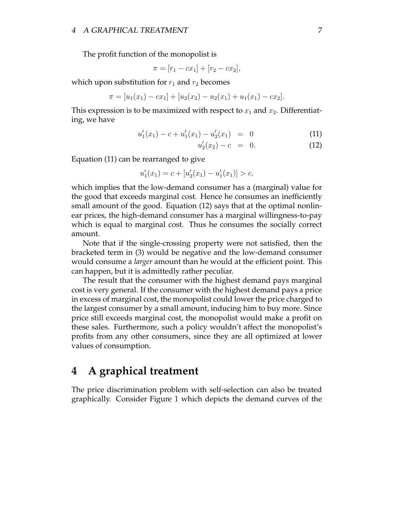The profit function of the monopolist is

$$
\pi = [r_1 - cx_1] + [r_2 - cx_2],
$$

which upon substitution for  $r_1$  and  $r_2$  becomes

$$
\pi = [u_1(x_1) - cx_1] + [u_2(x_2) - u_2(x_1) + u_1(x_1) - cx_2].
$$

This expression is to be maximized with respect to  $x_1$  and  $x_2$ . Differentiating, we have

$$
u'_1(x_1) - c + u'_1(x_1) - u'_2(x_1) = 0 \tag{11}
$$

$$
u_2'(x_2) - c = 0. \t(12)
$$

Equation (11) can be rearranged to give

$$
u_1'(x_1) = c + [u_2'(x_1) - u_1'(x_1)] > c,
$$

which implies that the low-demand consumer has a (marginal) value for the good that exceeds marginal cost. Hence he consumes an inefficiently small amount of the good. Equation (12) says that at the optimal nonlinear prices, the high-demand consumer has a marginal willingness-to-pay ear prices, are ragin demand correlative rate a manginal willingness-to-pay which is equal to marginal cost. Thus he consumed the socially correct.

Note that if the single-crossing property were not satisfied, then the bracketed term in (3) would be negative and the low-demand consumer would consume a *larger* amount than he would at the efficient point. This can happen, but it is admittedly rather peculiar.

The result that the consumer with the highest demand pays marginal cost is very general. If the consumer with the highest demand pays a price in excess of marginal cost, the monopolist could lower the price charged to the largest consumer by a small amount, inducing him to buy more. Since price still exceeds marginal cost, the monopolist would make a profit on these sales. Furthermore, such a policy wouldn't affect the monopolist's  $\frac{1}{2}$  sales from any other consumers, since they are all optimized at lower profits from any other consumers, since they are all optimized at lower values of consumption.

#### **4 A graphical treatment** 4

The price discrimination problem in the price of the price of the price of the cannot curve of the graphically. Consider Figure 1 which depicts the demand curves of the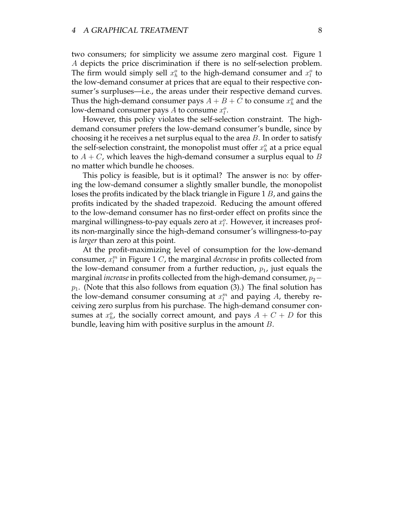two consumers; for simplicity we assume zero marginal cost. Figure 1 *A* depicts the price discrimination if there is no self-selection problem. The firm would simply sell  $x^0$  to the bigh-demand consumer and  $x^0$  to The firm would simply sell  $x_h$  to the high-demand consumer and  $x_l$ <br>the low-demand consumer at prices that are equal to their respective co the low-demand consumer at prices that are equal to their respective consumer's surpluses—i.e., the areas under their respective demand curves. Thus the high-demand consumer pays  $A + B + C$  to consume  $x^{\circ}$  and the Thus the high-demand consumer pays  $A + B + C$  to consume  $x_h$  and the<br>low-demand consumer pays A to consume  $x^o$ low-demand consumer pays A to consume  $x_i^o$ .

However, this policy violates the self-selection constraint. The highdemand consumer prefers the low-demand consumer's bundle, since by choosing it he receives a net surplus equal to the area  $B$ . In order to satisfy choosing it is because a net surplus equal to the area B. In order to satisfy the sen-selection constraint, the monopolist must offer  $x_h$ <br>to  $A + C$  which leaves the high-demand consumer a sup to  $A + C$ , which leaves the high-demand consumer a surplus equal to B no matter which bundle he chooses.

This policy is feasible, but is it optimal? The answer is no: by offering the low-demand consumer a slightly smaller bundle, the monopolist loses the profits indicated by the black triangle in Figure 1  $B$ , and gains the profits indicated by the shaded trapezoid. Reducing the amount offered to the low-demand consumer has no first-order effect on profits since the marginal willingness-to-pay equals zero at  $x_i^o$ . However, it increases prof- $\frac{1}{2}$  marginal willingness-to-pay equals zero at  $x_i$ . However, it increases profis *larger* than zero at this point.

At the profit-maximizing level of consumption for the low-demand  $\Gamma$   $\Gamma$ consumer,  $x_i^$ the low-demand consumer from a further reduction,  $p_1$ , just equals the marginal *increase* in profits collected from the high-demand consumer,  $p_2$  – p<sub>1</sub>. (Note that this also follows from equation (3).) The final solution has the low-demand consumer consuming at  $x^m$  and paying  $A$  thereby rethe low-demand consumer consuming at  $x_i$ <br>ceiving zero surplus from his purchase. The h ceiving zero surplus from his purchase. The high-demand consumer concurves at  $x^0$  the socially correct amount and pays  $A + C + D$  for this sumes at  $x_h$ <br>bundle leav  $h_n$ , the socially correct amount, and pays  $\sum_{n=1}^{\infty}$  of  $n=1$  for this  $\frac{1}{\sqrt{2}}$